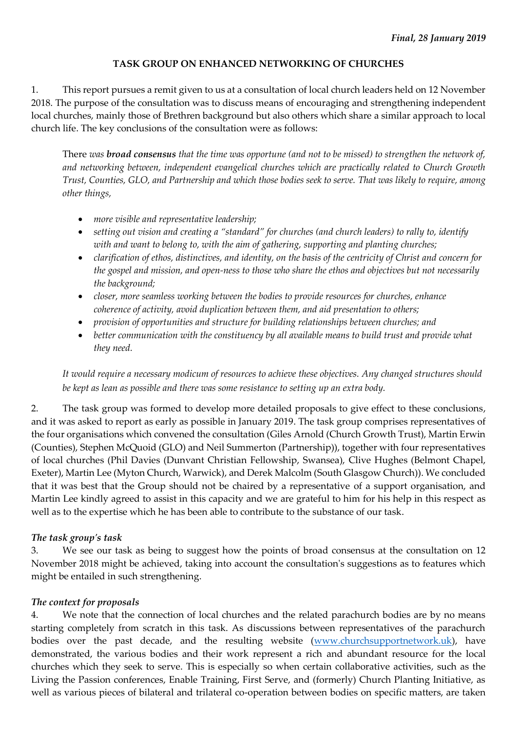#### **TASK GROUP ON ENHANCED NETWORKING OF CHURCHES**

1. This report pursues a remit given to us at a consultation of local church leaders held on 12 November 2018. The purpose of the consultation was to discuss means of encouraging and strengthening independent local churches, mainly those of Brethren background but also others which share a similar approach to local church life. The key conclusions of the consultation were as follows:

There *was broad consensus that the time was opportune (and not to be missed) to strengthen the network of, and networking between, independent evangelical churches which are practically related to Church Growth Trust, Counties, GLO, and Partnership and which those bodies seek to serve. That was likely to require, among other things,* 

- *more visible and representative leadership;*
- *setting out vision and creating a "standard" for churches (and church leaders) to rally to, identify with and want to belong to, with the aim of gathering, supporting and planting churches;*
- *clarification of ethos, distinctives, and identity, on the basis of the centricity of Christ and concern for the gospel and mission, and open-ness to those who share the ethos and objectives but not necessarily the background;*
- *closer, more seamless working between the bodies to provide resources for churches, enhance coherence of activity, avoid duplication between them, and aid presentation to others;*
- *provision of opportunities and structure for building relationships between churches; and*
- *better communication with the constituency by all available means to build trust and provide what they need.*

*It would require a necessary modicum of resources to achieve these objectives. Any changed structures should be kept as lean as possible and there was some resistance to setting up an extra body.*

2. The task group was formed to develop more detailed proposals to give effect to these conclusions, and it was asked to report as early as possible in January 2019. The task group comprises representatives of the four organisations which convened the consultation (Giles Arnold (Church Growth Trust), Martin Erwin (Counties), Stephen McQuoid (GLO) and Neil Summerton (Partnership)), together with four representatives of local churches (Phil Davies (Dunvant Christian Fellowship, Swansea), Clive Hughes (Belmont Chapel, Exeter), Martin Lee (Myton Church, Warwick), and Derek Malcolm (South Glasgow Church)). We concluded that it was best that the Group should not be chaired by a representative of a support organisation, and Martin Lee kindly agreed to assist in this capacity and we are grateful to him for his help in this respect as well as to the expertise which he has been able to contribute to the substance of our task.

#### *The task group's task*

3. We see our task as being to suggest how the points of broad consensus at the consultation on 12 November 2018 might be achieved, taking into account the consultation's suggestions as to features which might be entailed in such strengthening.

#### *The context for proposals*

4. We note that the connection of local churches and the related parachurch bodies are by no means starting completely from scratch in this task. As discussions between representatives of the parachurch bodies over the past decade, and the resulting website [\(www.churchsupportnetwork.uk\)](http://www.churchsupportnetwork.uk/), have demonstrated, the various bodies and their work represent a rich and abundant resource for the local churches which they seek to serve. This is especially so when certain collaborative activities, such as the Living the Passion conferences, Enable Training, First Serve, and (formerly) Church Planting Initiative, as well as various pieces of bilateral and trilateral co-operation between bodies on specific matters, are taken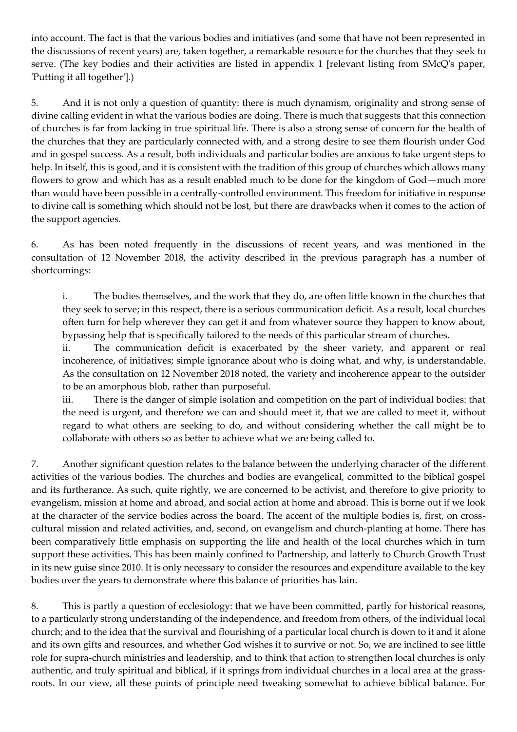into account. The fact is that the various bodies and initiatives (and some that have not been represented in the discussions of recent years) are, taken together, a remarkable resource for the churches that they seek to serve. (The key bodies and their activities are listed in appendix 1 [relevant listing from SMcQ's paper, 'Putting it all together'].)

5. And it is not only a question of quantity: there is much dynamism, originality and strong sense of divine calling evident in what the various bodies are doing. There is much that suggests that this connection of churches is far from lacking in true spiritual life. There is also a strong sense of concern for the health of the churches that they are particularly connected with, and a strong desire to see them flourish under God and in gospel success. As a result, both individuals and particular bodies are anxious to take urgent steps to help. In itself, this is good, and it is consistent with the tradition of this group of churches which allows many flowers to grow and which has as a result enabled much to be done for the kingdom of God—much more than would have been possible in a centrally-controlled environment. This freedom for initiative in response to divine call is something which should not be lost, but there are drawbacks when it comes to the action of the support agencies.

6. As has been noted frequently in the discussions of recent years, and was mentioned in the consultation of 12 November 2018, the activity described in the previous paragraph has a number of shortcomings:

i. The bodies themselves, and the work that they do, are often little known in the churches that they seek to serve; in this respect, there is a serious communication deficit. As a result, local churches often turn for help wherever they can get it and from whatever source they happen to know about, bypassing help that is specifically tailored to the needs of this particular stream of churches.

ii. The communication deficit is exacerbated by the sheer variety, and apparent or real incoherence, of initiatives; simple ignorance about who is doing what, and why, is understandable. As the consultation on 12 November 2018 noted, the variety and incoherence appear to the outsider to be an amorphous blob, rather than purposeful.

iii. There is the danger of simple isolation and competition on the part of individual bodies: that the need is urgent, and therefore we can and should meet it, that we are called to meet it, without regard to what others are seeking to do, and without considering whether the call might be to collaborate with others so as better to achieve what we are being called to.

7. Another significant question relates to the balance between the underlying character of the different activities of the various bodies. The churches and bodies are evangelical, committed to the biblical gospel and its furtherance. As such, quite rightly, we are concerned to be activist, and therefore to give priority to evangelism, mission at home and abroad, and social action at home and abroad. This is borne out if we look at the character of the service bodies across the board. The accent of the multiple bodies is, first, on crosscultural mission and related activities, and, second, on evangelism and church-planting at home. There has been comparatively little emphasis on supporting the life and health of the local churches which in turn support these activities. This has been mainly confined to Partnership, and latterly to Church Growth Trust in its new guise since 2010. It is only necessary to consider the resources and expenditure available to the key bodies over the years to demonstrate where this balance of priorities has lain.

8. This is partly a question of ecclesiology: that we have been committed, partly for historical reasons, to a particularly strong understanding of the independence, and freedom from others, of the individual local church; and to the idea that the survival and flourishing of a particular local church is down to it and it alone and its own gifts and resources, and whether God wishes it to survive or not. So, we are inclined to see little role for supra-church ministries and leadership, and to think that action to strengthen local churches is only authentic, and truly spiritual and biblical, if it springs from individual churches in a local area at the grassroots. In our view, all these points of principle need tweaking somewhat to achieve biblical balance. For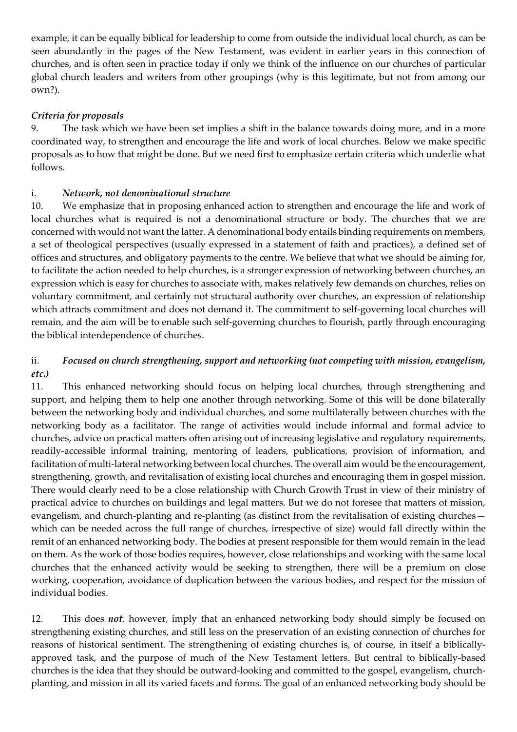example, it can be equally biblical for leadership to come from outside the individual local church, as can be seen abundantly in the pages of the New Testament, was evident in earlier years in this connection of churches, and is often seen in practice today if only we think of the influence on our churches of particular global church leaders and writers from other groupings (why is this legitimate, but not from among our own?).

# *Criteria for proposals*

9. The task which we have been set implies a shift in the balance towards doing more, and in a more coordinated way, to strengthen and encourage the life and work of local churches. Below we make specific proposals as to how that might be done. But we need first to emphasize certain criteria which underlie what follows.

## i. *Network, not denominational structure*

10. We emphasize that in proposing enhanced action to strengthen and encourage the life and work of local churches what is required is not a denominational structure or body. The churches that we are concerned with would not want the latter. A denominational body entails binding requirements on members, a set of theological perspectives (usually expressed in a statement of faith and practices), a defined set of offices and structures, and obligatory payments to the centre. We believe that what we should be aiming for, to facilitate the action needed to help churches, is a stronger expression of networking between churches, an expression which is easy for churches to associate with, makes relatively few demands on churches, relies on voluntary commitment, and certainly not structural authority over churches, an expression of relationship which attracts commitment and does not demand it. The commitment to self-governing local churches will remain, and the aim will be to enable such self-governing churches to flourish, partly through encouraging the biblical interdependence of churches.

## ii. *Focused on church strengthening, support and networking (not competing with mission, evangelism, etc.)*

11. This enhanced networking should focus on helping local churches, through strengthening and support, and helping them to help one another through networking. Some of this will be done bilaterally between the networking body and individual churches, and some multilaterally between churches with the networking body as a facilitator. The range of activities would include informal and formal advice to churches, advice on practical matters often arising out of increasing legislative and regulatory requirements, readily-accessible informal training, mentoring of leaders, publications, provision of information, and facilitation of multi-lateral networking between local churches. The overall aim would be the encouragement, strengthening, growth, and revitalisation of existing local churches and encouraging them in gospel mission. There would clearly need to be a close relationship with Church Growth Trust in view of their ministry of practical advice to churches on buildings and legal matters. But we do not foresee that matters of mission, evangelism, and church-planting and re-planting (as distinct from the revitalisation of existing churches which can be needed across the full range of churches, irrespective of size) would fall directly within the remit of an enhanced networking body. The bodies at present responsible for them would remain in the lead on them. As the work of those bodies requires, however, close relationships and working with the same local churches that the enhanced activity would be seeking to strengthen, there will be a premium on close working, cooperation, avoidance of duplication between the various bodies, and respect for the mission of individual bodies.

12. This does *not*, however, imply that an enhanced networking body should simply be focused on strengthening existing churches, and still less on the preservation of an existing connection of churches for reasons of historical sentiment. The strengthening of existing churches is, of course, in itself a biblicallyapproved task, and the purpose of much of the New Testament letters. But central to biblically-based churches is the idea that they should be outward-looking and committed to the gospel, evangelism, churchplanting, and mission in all its varied facets and forms. The goal of an enhanced networking body should be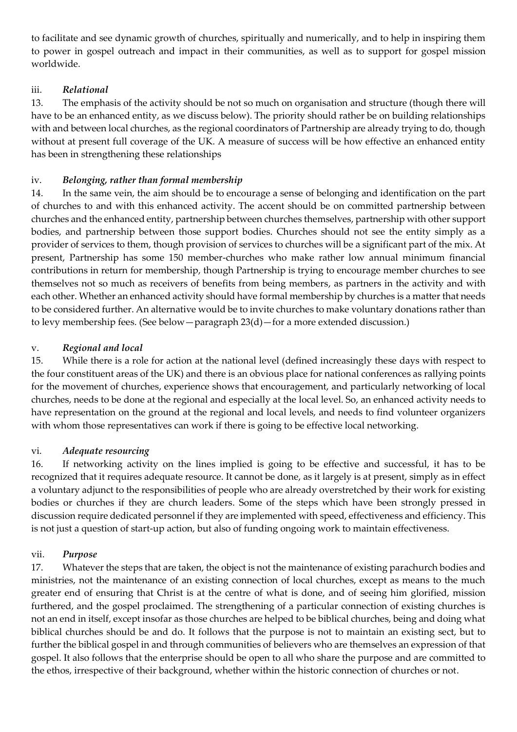to facilitate and see dynamic growth of churches, spiritually and numerically, and to help in inspiring them to power in gospel outreach and impact in their communities, as well as to support for gospel mission worldwide.

# iii. *Relational*

13. The emphasis of the activity should be not so much on organisation and structure (though there will have to be an enhanced entity, as we discuss below). The priority should rather be on building relationships with and between local churches, as the regional coordinators of Partnership are already trying to do, though without at present full coverage of the UK. A measure of success will be how effective an enhanced entity has been in strengthening these relationships

## iv. *Belonging, rather than formal membership*

14. In the same vein, the aim should be to encourage a sense of belonging and identification on the part of churches to and with this enhanced activity. The accent should be on committed partnership between churches and the enhanced entity, partnership between churches themselves, partnership with other support bodies, and partnership between those support bodies. Churches should not see the entity simply as a provider of services to them, though provision of services to churches will be a significant part of the mix. At present, Partnership has some 150 member-churches who make rather low annual minimum financial contributions in return for membership, though Partnership is trying to encourage member churches to see themselves not so much as receivers of benefits from being members, as partners in the activity and with each other. Whether an enhanced activity should have formal membership by churches is a matter that needs to be considered further. An alternative would be to invite churches to make voluntary donations rather than to levy membership fees. (See below—paragraph 23(d)—for a more extended discussion.)

## v. *Regional and local*

15. While there is a role for action at the national level (defined increasingly these days with respect to the four constituent areas of the UK) and there is an obvious place for national conferences as rallying points for the movement of churches, experience shows that encouragement, and particularly networking of local churches, needs to be done at the regional and especially at the local level. So, an enhanced activity needs to have representation on the ground at the regional and local levels, and needs to find volunteer organizers with whom those representatives can work if there is going to be effective local networking.

## vi. *Adequate resourcing*

16. If networking activity on the lines implied is going to be effective and successful, it has to be recognized that it requires adequate resource. It cannot be done, as it largely is at present, simply as in effect a voluntary adjunct to the responsibilities of people who are already overstretched by their work for existing bodies or churches if they are church leaders. Some of the steps which have been strongly pressed in discussion require dedicated personnel if they are implemented with speed, effectiveness and efficiency. This is not just a question of start-up action, but also of funding ongoing work to maintain effectiveness.

## vii. *Purpose*

17. Whatever the steps that are taken, the object is not the maintenance of existing parachurch bodies and ministries, not the maintenance of an existing connection of local churches, except as means to the much greater end of ensuring that Christ is at the centre of what is done, and of seeing him glorified, mission furthered, and the gospel proclaimed. The strengthening of a particular connection of existing churches is not an end in itself, except insofar as those churches are helped to be biblical churches, being and doing what biblical churches should be and do. It follows that the purpose is not to maintain an existing sect, but to further the biblical gospel in and through communities of believers who are themselves an expression of that gospel. It also follows that the enterprise should be open to all who share the purpose and are committed to the ethos, irrespective of their background, whether within the historic connection of churches or not.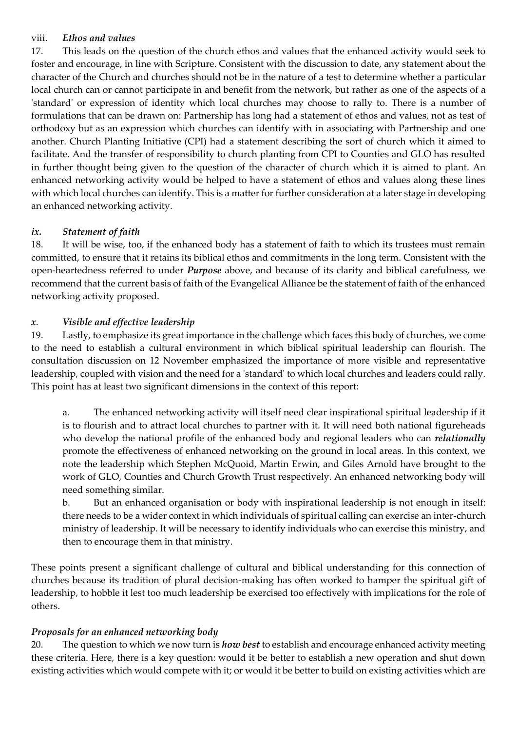#### viii. *Ethos and values*

17. This leads on the question of the church ethos and values that the enhanced activity would seek to foster and encourage, in line with Scripture. Consistent with the discussion to date, any statement about the character of the Church and churches should not be in the nature of a test to determine whether a particular local church can or cannot participate in and benefit from the network, but rather as one of the aspects of a 'standard' or expression of identity which local churches may choose to rally to. There is a number of formulations that can be drawn on: Partnership has long had a statement of ethos and values, not as test of orthodoxy but as an expression which churches can identify with in associating with Partnership and one another. Church Planting Initiative (CPI) had a statement describing the sort of church which it aimed to facilitate. And the transfer of responsibility to church planting from CPI to Counties and GLO has resulted in further thought being given to the question of the character of church which it is aimed to plant. An enhanced networking activity would be helped to have a statement of ethos and values along these lines with which local churches can identify. This is a matter for further consideration at a later stage in developing an enhanced networking activity.

#### *ix. Statement of faith*

18. It will be wise, too, if the enhanced body has a statement of faith to which its trustees must remain committed, to ensure that it retains its biblical ethos and commitments in the long term. Consistent with the open-heartedness referred to under *Purpose* above, and because of its clarity and biblical carefulness, we recommend that the current basis of faith of the Evangelical Alliance be the statement of faith of the enhanced networking activity proposed.

#### *x*. *Visible and effective leadership*

19. Lastly, to emphasize its great importance in the challenge which faces this body of churches, we come to the need to establish a cultural environment in which biblical spiritual leadership can flourish. The consultation discussion on 12 November emphasized the importance of more visible and representative leadership, coupled with vision and the need for a 'standard' to which local churches and leaders could rally. This point has at least two significant dimensions in the context of this report:

a. The enhanced networking activity will itself need clear inspirational spiritual leadership if it is to flourish and to attract local churches to partner with it. It will need both national figureheads who develop the national profile of the enhanced body and regional leaders who can *relationally* promote the effectiveness of enhanced networking on the ground in local areas. In this context, we note the leadership which Stephen McQuoid, Martin Erwin, and Giles Arnold have brought to the work of GLO, Counties and Church Growth Trust respectively. An enhanced networking body will need something similar.

b. But an enhanced organisation or body with inspirational leadership is not enough in itself: there needs to be a wider context in which individuals of spiritual calling can exercise an inter-church ministry of leadership. It will be necessary to identify individuals who can exercise this ministry, and then to encourage them in that ministry.

These points present a significant challenge of cultural and biblical understanding for this connection of churches because its tradition of plural decision-making has often worked to hamper the spiritual gift of leadership, to hobble it lest too much leadership be exercised too effectively with implications for the role of others.

## *Proposals for an enhanced networking body*

20. The question to which we now turn is *how best* to establish and encourage enhanced activity meeting these criteria. Here, there is a key question: would it be better to establish a new operation and shut down existing activities which would compete with it; or would it be better to build on existing activities which are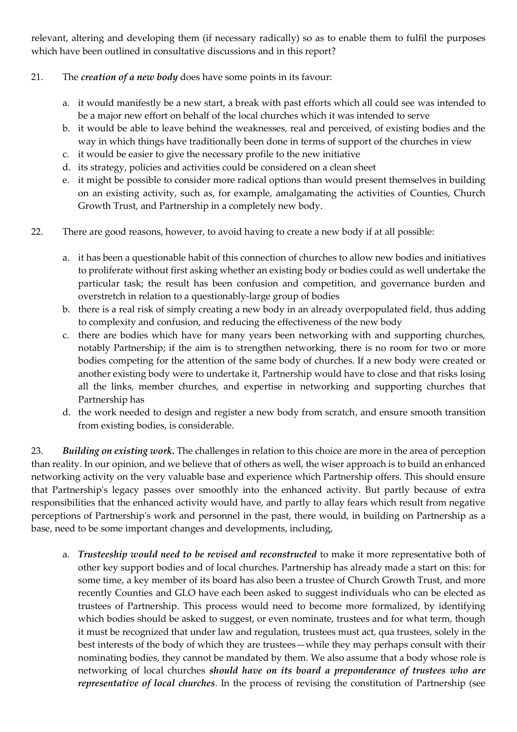relevant, altering and developing them (if necessary radically) so as to enable them to fulfil the purposes which have been outlined in consultative discussions and in this report?

#### 21. The *creation of a new body* does have some points in its favour:

- a. it would manifestly be a new start, a break with past efforts which all could see was intended to be a major new effort on behalf of the local churches which it was intended to serve
- b. it would be able to leave behind the weaknesses, real and perceived, of existing bodies and the way in which things have traditionally been done in terms of support of the churches in view
- c. it would be easier to give the necessary profile to the new initiative
- d. its strategy, policies and activities could be considered on a clean sheet
- e. it might be possible to consider more radical options than would present themselves in building on an existing activity, such as, for example, amalgamating the activities of Counties, Church Growth Trust, and Partnership in a completely new body.
- 22. There are good reasons, however, to avoid having to create a new body if at all possible:
	- a. it has been a questionable habit of this connection of churches to allow new bodies and initiatives to proliferate without first asking whether an existing body or bodies could as well undertake the particular task; the result has been confusion and competition, and governance burden and overstretch in relation to a questionably-large group of bodies
	- b. there is a real risk of simply creating a new body in an already overpopulated field, thus adding to complexity and confusion, and reducing the effectiveness of the new body
	- c. there are bodies which have for many years been networking with and supporting churches, notably Partnership; if the aim is to strengthen networking, there is no room for two or more bodies competing for the attention of the same body of churches. If a new body were created or another existing body were to undertake it, Partnership would have to close and that risks losing all the links, member churches, and expertise in networking and supporting churches that Partnership has
	- d. the work needed to design and register a new body from scratch, and ensure smooth transition from existing bodies, is considerable.

23. *Building on existing work.* The challenges in relation to this choice are more in the area of perception than reality. In our opinion, and we believe that of others as well, the wiser approach is to build an enhanced networking activity on the very valuable base and experience which Partnership offers. This should ensure that Partnership's legacy passes over smoothly into the enhanced activity. But partly because of extra responsibilities that the enhanced activity would have, and partly to allay fears which result from negative perceptions of Partnership's work and personnel in the past, there would, in building on Partnership as a base, need to be some important changes and developments, including,

a. *Trusteeship would need to be revised and reconstructed* to make it more representative both of other key support bodies and of local churches. Partnership has already made a start on this: for some time, a key member of its board has also been a trustee of Church Growth Trust, and more recently Counties and GLO have each been asked to suggest individuals who can be elected as trustees of Partnership. This process would need to become more formalized, by identifying which bodies should be asked to suggest, or even nominate, trustees and for what term, though it must be recognized that under law and regulation, trustees must act, qua trustees, solely in the best interests of the body of which they are trustees—while they may perhaps consult with their nominating bodies, they cannot be mandated by them. We also assume that a body whose role is networking of local churches *should have on its board a preponderance of trustees who are representative of local churches*. In the process of revising the constitution of Partnership (see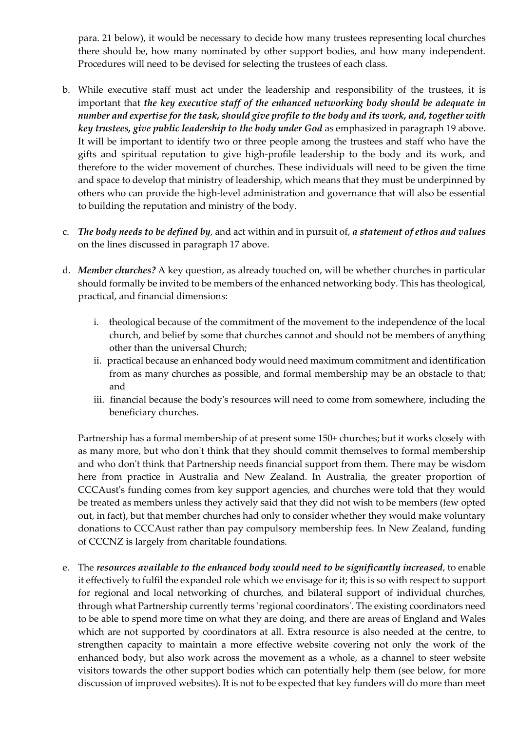para. 21 below), it would be necessary to decide how many trustees representing local churches there should be, how many nominated by other support bodies, and how many independent. Procedures will need to be devised for selecting the trustees of each class.

- b. While executive staff must act under the leadership and responsibility of the trustees, it is important that *the key executive staff of the enhanced networking body should be adequate in number and expertise for the task, should give profile to the body and its work, and, together with key trustees, give public leadership to the body under God* as emphasized in paragraph 19 above. It will be important to identify two or three people among the trustees and staff who have the gifts and spiritual reputation to give high-profile leadership to the body and its work, and therefore to the wider movement of churches. These individuals will need to be given the time and space to develop that ministry of leadership, which means that they must be underpinned by others who can provide the high-level administration and governance that will also be essential to building the reputation and ministry of the body.
- c. *The body needs to be defined by*, and act within and in pursuit of, *a statement of ethos and values* on the lines discussed in paragraph 17 above.
- d. *Member churches?* A key question, as already touched on, will be whether churches in particular should formally be invited to be members of the enhanced networking body. This has theological, practical, and financial dimensions:
	- i. theological because of the commitment of the movement to the independence of the local church, and belief by some that churches cannot and should not be members of anything other than the universal Church;
	- ii. practical because an enhanced body would need maximum commitment and identification from as many churches as possible, and formal membership may be an obstacle to that; and
	- iii. financial because the body's resources will need to come from somewhere, including the beneficiary churches.

Partnership has a formal membership of at present some 150+ churches; but it works closely with as many more, but who don't think that they should commit themselves to formal membership and who don't think that Partnership needs financial support from them. There may be wisdom here from practice in Australia and New Zealand. In Australia, the greater proportion of CCCAust's funding comes from key support agencies, and churches were told that they would be treated as members unless they actively said that they did not wish to be members (few opted out, in fact), but that member churches had only to consider whether they would make voluntary donations to CCCAust rather than pay compulsory membership fees. In New Zealand, funding of CCCNZ is largely from charitable foundations.

e. The *resources available to the enhanced body would need to be significantly increased*, to enable it effectively to fulfil the expanded role which we envisage for it; this is so with respect to support for regional and local networking of churches, and bilateral support of individual churches, through what Partnership currently terms 'regional coordinators'. The existing coordinators need to be able to spend more time on what they are doing, and there are areas of England and Wales which are not supported by coordinators at all. Extra resource is also needed at the centre, to strengthen capacity to maintain a more effective website covering not only the work of the enhanced body, but also work across the movement as a whole, as a channel to steer website visitors towards the other support bodies which can potentially help them (see below, for more discussion of improved websites). It is not to be expected that key funders will do more than meet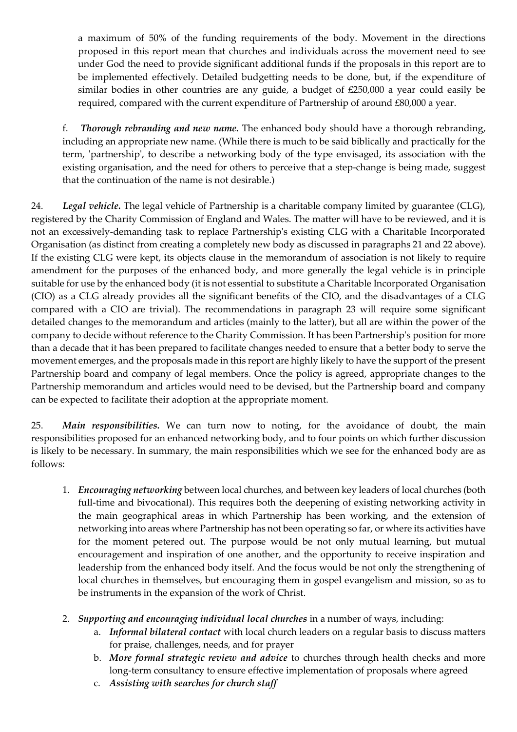a maximum of 50% of the funding requirements of the body. Movement in the directions proposed in this report mean that churches and individuals across the movement need to see under God the need to provide significant additional funds if the proposals in this report are to be implemented effectively. Detailed budgetting needs to be done, but, if the expenditure of similar bodies in other countries are any guide, a budget of £250,000 a year could easily be required, compared with the current expenditure of Partnership of around £80,000 a year.

f. *Thorough rebranding and new name.* The enhanced body should have a thorough rebranding, including an appropriate new name. (While there is much to be said biblically and practically for the term, 'partnership', to describe a networking body of the type envisaged, its association with the existing organisation, and the need for others to perceive that a step-change is being made, suggest that the continuation of the name is not desirable.)

24. *Legal vehicle.* The legal vehicle of Partnership is a charitable company limited by guarantee (CLG), registered by the Charity Commission of England and Wales. The matter will have to be reviewed, and it is not an excessively-demanding task to replace Partnership's existing CLG with a Charitable Incorporated Organisation (as distinct from creating a completely new body as discussed in paragraphs 21 and 22 above). If the existing CLG were kept, its objects clause in the memorandum of association is not likely to require amendment for the purposes of the enhanced body, and more generally the legal vehicle is in principle suitable for use by the enhanced body (it is not essential to substitute a Charitable Incorporated Organisation (CIO) as a CLG already provides all the significant benefits of the CIO, and the disadvantages of a CLG compared with a CIO are trivial). The recommendations in paragraph 23 will require some significant detailed changes to the memorandum and articles (mainly to the latter), but all are within the power of the company to decide without reference to the Charity Commission. It has been Partnership's position for more than a decade that it has been prepared to facilitate changes needed to ensure that a better body to serve the movement emerges, and the proposals made in this report are highly likely to have the support of the present Partnership board and company of legal members. Once the policy is agreed, appropriate changes to the Partnership memorandum and articles would need to be devised, but the Partnership board and company can be expected to facilitate their adoption at the appropriate moment.

25. *Main responsibilities.* We can turn now to noting, for the avoidance of doubt, the main responsibilities proposed for an enhanced networking body, and to four points on which further discussion is likely to be necessary. In summary, the main responsibilities which we see for the enhanced body are as follows:

- 1. *Encouraging networking* between local churches, and between key leaders of local churches (both full-time and bivocational). This requires both the deepening of existing networking activity in the main geographical areas in which Partnership has been working, and the extension of networking into areas where Partnership has not been operating so far, or where its activities have for the moment petered out. The purpose would be not only mutual learning, but mutual encouragement and inspiration of one another, and the opportunity to receive inspiration and leadership from the enhanced body itself. And the focus would be not only the strengthening of local churches in themselves, but encouraging them in gospel evangelism and mission, so as to be instruments in the expansion of the work of Christ.
- 2. *Supporting and encouraging individual local churches* in a number of ways, including:
	- a. *Informal bilateral contact* with local church leaders on a regular basis to discuss matters for praise, challenges, needs, and for prayer
	- b. *More formal strategic review and advice* to churches through health checks and more long-term consultancy to ensure effective implementation of proposals where agreed
	- c. *Assisting with searches for church staff*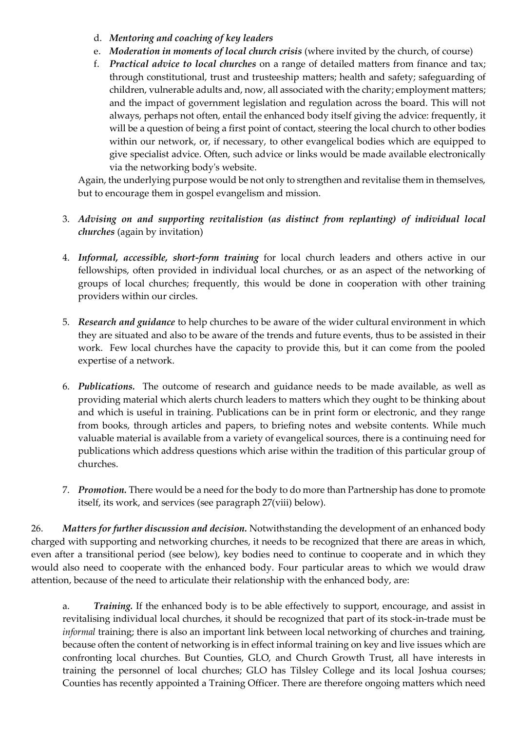- d. *Mentoring and coaching of key leaders*
- e. *Moderation in moments of local church crisis* (where invited by the church, of course)
- f. *Practical advice to local churches* on a range of detailed matters from finance and tax; through constitutional, trust and trusteeship matters; health and safety; safeguarding of children, vulnerable adults and, now, all associated with the charity; employment matters; and the impact of government legislation and regulation across the board. This will not always, perhaps not often, entail the enhanced body itself giving the advice: frequently, it will be a question of being a first point of contact, steering the local church to other bodies within our network, or, if necessary, to other evangelical bodies which are equipped to give specialist advice. Often, such advice or links would be made available electronically via the networking body's website.

Again, the underlying purpose would be not only to strengthen and revitalise them in themselves, but to encourage them in gospel evangelism and mission.

- 3. *Advising on and supporting revitalistion (as distinct from replanting) of individual local churches* (again by invitation)
- 4. *Informal, accessible, short-form training* for local church leaders and others active in our fellowships, often provided in individual local churches, or as an aspect of the networking of groups of local churches; frequently, this would be done in cooperation with other training providers within our circles.
- 5. *Research and guidance* to help churches to be aware of the wider cultural environment in which they are situated and also to be aware of the trends and future events, thus to be assisted in their work. Few local churches have the capacity to provide this, but it can come from the pooled expertise of a network.
- 6. *Publications.* The outcome of research and guidance needs to be made available, as well as providing material which alerts church leaders to matters which they ought to be thinking about and which is useful in training. Publications can be in print form or electronic, and they range from books, through articles and papers, to briefing notes and website contents. While much valuable material is available from a variety of evangelical sources, there is a continuing need for publications which address questions which arise within the tradition of this particular group of churches.
- 7. *Promotion.* There would be a need for the body to do more than Partnership has done to promote itself, its work, and services (see paragraph 27(viii) below).

26. *Matters for further discussion and decision.* Notwithstanding the development of an enhanced body charged with supporting and networking churches, it needs to be recognized that there are areas in which, even after a transitional period (see below), key bodies need to continue to cooperate and in which they would also need to cooperate with the enhanced body. Four particular areas to which we would draw attention, because of the need to articulate their relationship with the enhanced body, are:

a. *Training.* If the enhanced body is to be able effectively to support, encourage, and assist in revitalising individual local churches, it should be recognized that part of its stock-in-trade must be *informal* training; there is also an important link between local networking of churches and training, because often the content of networking is in effect informal training on key and live issues which are confronting local churches. But Counties, GLO, and Church Growth Trust, all have interests in training the personnel of local churches; GLO has Tilsley College and its local Joshua courses; Counties has recently appointed a Training Officer. There are therefore ongoing matters which need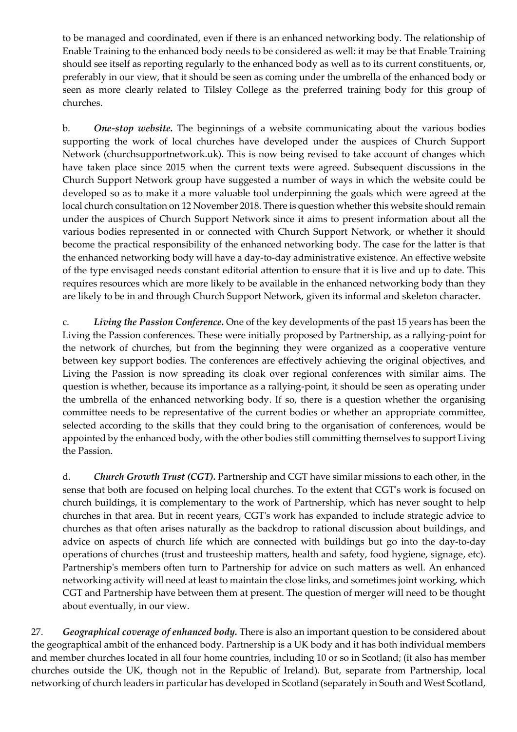to be managed and coordinated, even if there is an enhanced networking body. The relationship of Enable Training to the enhanced body needs to be considered as well: it may be that Enable Training should see itself as reporting regularly to the enhanced body as well as to its current constituents, or, preferably in our view, that it should be seen as coming under the umbrella of the enhanced body or seen as more clearly related to Tilsley College as the preferred training body for this group of churches.

b. *One-stop website.* The beginnings of a website communicating about the various bodies supporting the work of local churches have developed under the auspices of Church Support Network (churchsupportnetwork.uk). This is now being revised to take account of changes which have taken place since 2015 when the current texts were agreed. Subsequent discussions in the Church Support Network group have suggested a number of ways in which the website could be developed so as to make it a more valuable tool underpinning the goals which were agreed at the local church consultation on 12 November 2018. There is question whether this website should remain under the auspices of Church Support Network since it aims to present information about all the various bodies represented in or connected with Church Support Network, or whether it should become the practical responsibility of the enhanced networking body. The case for the latter is that the enhanced networking body will have a day-to-day administrative existence. An effective website of the type envisaged needs constant editorial attention to ensure that it is live and up to date. This requires resources which are more likely to be available in the enhanced networking body than they are likely to be in and through Church Support Network, given its informal and skeleton character.

c. *Living the Passion Conference.* One of the key developments of the past 15 years has been the Living the Passion conferences. These were initially proposed by Partnership, as a rallying-point for the network of churches, but from the beginning they were organized as a cooperative venture between key support bodies. The conferences are effectively achieving the original objectives, and Living the Passion is now spreading its cloak over regional conferences with similar aims. The question is whether, because its importance as a rallying-point, it should be seen as operating under the umbrella of the enhanced networking body. If so, there is a question whether the organising committee needs to be representative of the current bodies or whether an appropriate committee, selected according to the skills that they could bring to the organisation of conferences, would be appointed by the enhanced body, with the other bodies still committing themselves to support Living the Passion.

d. *Church Growth Trust (CGT).* Partnership and CGT have similar missions to each other, in the sense that both are focused on helping local churches. To the extent that CGT's work is focused on church buildings, it is complementary to the work of Partnership, which has never sought to help churches in that area. But in recent years, CGT's work has expanded to include strategic advice to churches as that often arises naturally as the backdrop to rational discussion about buildings, and advice on aspects of church life which are connected with buildings but go into the day-to-day operations of churches (trust and trusteeship matters, health and safety, food hygiene, signage, etc). Partnership's members often turn to Partnership for advice on such matters as well. An enhanced networking activity will need at least to maintain the close links, and sometimes joint working, which CGT and Partnership have between them at present. The question of merger will need to be thought about eventually, in our view.

27. *Geographical coverage of enhanced body.* There is also an important question to be considered about the geographical ambit of the enhanced body. Partnership is a UK body and it has both individual members and member churches located in all four home countries, including 10 or so in Scotland; (it also has member churches outside the UK, though not in the Republic of Ireland). But, separate from Partnership, local networking of church leaders in particular has developed in Scotland (separately in South and West Scotland,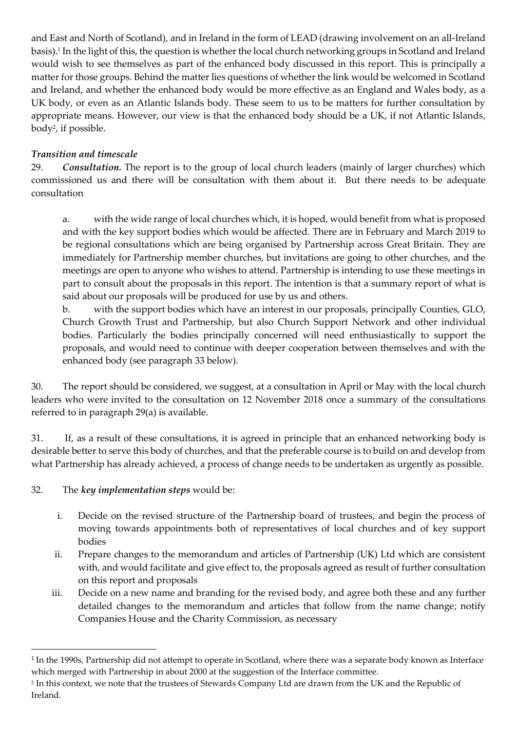and East and North of Scotland), and in Ireland in the form of LEAD (drawing involvement on an all-Ireland basis). 1 In the light of this, the question is whether the local church networking groups in Scotland and Ireland would wish to see themselves as part of the enhanced body discussed in this report. This is principally a matter for those groups. Behind the matter lies questions of whether the link would be welcomed in Scotland and Ireland, and whether the enhanced body would be more effective as an England and Wales body, as a UK body, or even as an Atlantic Islands body. These seem to us to be matters for further consultation by appropriate means. However, our view is that the enhanced body should be a UK, if not Atlantic Islands, body<sup>2</sup> , if possible.

## *Transition and timescale*

29. *Consultation.* The report is to the group of local church leaders (mainly of larger churches) which commissioned us and there will be consultation with them about it. But there needs to be adequate consultation

a. with the wide range of local churches which, it is hoped, would benefit from what is proposed and with the key support bodies which would be affected. There are in February and March 2019 to be regional consultations which are being organised by Partnership across Great Britain. They are immediately for Partnership member churches, but invitations are going to other churches, and the meetings are open to anyone who wishes to attend. Partnership is intending to use these meetings in part to consult about the proposals in this report. The intention is that a summary report of what is said about our proposals will be produced for use by us and others.

b. with the support bodies which have an interest in our proposals, principally Counties, GLO, Church Growth Trust and Partnership, but also Church Support Network and other individual bodies. Particularly the bodies principally concerned will need enthusiastically to support the proposals, and would need to continue with deeper cooperation between themselves and with the enhanced body (see paragraph 33 below).

30. The report should be considered, we suggest, at a consultation in April or May with the local church leaders who were invited to the consultation on 12 November 2018 once a summary of the consultations referred to in paragraph 29(a) is available.

31. If, as a result of these consultations, it is agreed in principle that an enhanced networking body is desirable better to serve this body of churches, and that the preferable course is to build on and develop from what Partnership has already achieved, a process of change needs to be undertaken as urgently as possible.

## 32. The *key implementation steps* would be:

**.** 

- i. Decide on the revised structure of the Partnership board of trustees, and begin the process of moving towards appointments both of representatives of local churches and of key support bodies
- ii. Prepare changes to the memorandum and articles of Partnership (UK) Ltd which are consistent with, and would facilitate and give effect to, the proposals agreed as result of further consultation on this report and proposals
- iii. Decide on a new name and branding for the revised body, and agree both these and any further detailed changes to the memorandum and articles that follow from the name change; notify Companies House and the Charity Commission, as necessary

<sup>&</sup>lt;sup>1</sup> In the 1990s, Partnership did not attempt to operate in Scotland, where there was a separate body known as Interface which merged with Partnership in about 2000 at the suggestion of the Interface committee.

<sup>2</sup> In this context, we note that the trustees of Stewards Company Ltd are drawn from the UK and the Republic of Ireland.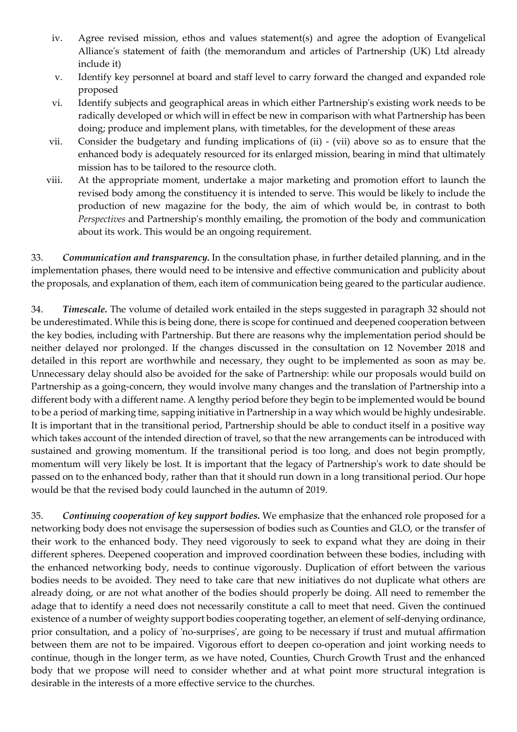- iv. Agree revised mission, ethos and values statement(s) and agree the adoption of Evangelical Alliance's statement of faith (the memorandum and articles of Partnership (UK) Ltd already include it)
- v. Identify key personnel at board and staff level to carry forward the changed and expanded role proposed
- vi. Identify subjects and geographical areas in which either Partnership's existing work needs to be radically developed or which will in effect be new in comparison with what Partnership has been doing; produce and implement plans, with timetables, for the development of these areas
- vii. Consider the budgetary and funding implications of (ii) (vii) above so as to ensure that the enhanced body is adequately resourced for its enlarged mission, bearing in mind that ultimately mission has to be tailored to the resource cloth.
- viii. At the appropriate moment, undertake a major marketing and promotion effort to launch the revised body among the constituency it is intended to serve. This would be likely to include the production of new magazine for the body, the aim of which would be, in contrast to both *Perspectives* and Partnership's monthly emailing, the promotion of the body and communication about its work. This would be an ongoing requirement.

33. *Communication and transparency.* In the consultation phase, in further detailed planning, and in the implementation phases, there would need to be intensive and effective communication and publicity about the proposals, and explanation of them, each item of communication being geared to the particular audience.

34. *Timescale.* The volume of detailed work entailed in the steps suggested in paragraph 32 should not be underestimated. While this is being done, there is scope for continued and deepened cooperation between the key bodies, including with Partnership. But there are reasons why the implementation period should be neither delayed nor prolonged. If the changes discussed in the consultation on 12 November 2018 and detailed in this report are worthwhile and necessary, they ought to be implemented as soon as may be. Unnecessary delay should also be avoided for the sake of Partnership: while our proposals would build on Partnership as a going-concern, they would involve many changes and the translation of Partnership into a different body with a different name. A lengthy period before they begin to be implemented would be bound to be a period of marking time, sapping initiative in Partnership in a way which would be highly undesirable. It is important that in the transitional period, Partnership should be able to conduct itself in a positive way which takes account of the intended direction of travel, so that the new arrangements can be introduced with sustained and growing momentum. If the transitional period is too long, and does not begin promptly, momentum will very likely be lost. It is important that the legacy of Partnership's work to date should be passed on to the enhanced body, rather than that it should run down in a long transitional period. Our hope would be that the revised body could launched in the autumn of 2019.

35. *Continuing cooperation of key support bodies.* We emphasize that the enhanced role proposed for a networking body does not envisage the supersession of bodies such as Counties and GLO, or the transfer of their work to the enhanced body. They need vigorously to seek to expand what they are doing in their different spheres. Deepened cooperation and improved coordination between these bodies, including with the enhanced networking body, needs to continue vigorously. Duplication of effort between the various bodies needs to be avoided. They need to take care that new initiatives do not duplicate what others are already doing, or are not what another of the bodies should properly be doing. All need to remember the adage that to identify a need does not necessarily constitute a call to meet that need. Given the continued existence of a number of weighty support bodies cooperating together, an element of self-denying ordinance, prior consultation, and a policy of 'no-surprises', are going to be necessary if trust and mutual affirmation between them are not to be impaired. Vigorous effort to deepen co-operation and joint working needs to continue, though in the longer term, as we have noted, Counties, Church Growth Trust and the enhanced body that we propose will need to consider whether and at what point more structural integration is desirable in the interests of a more effective service to the churches.